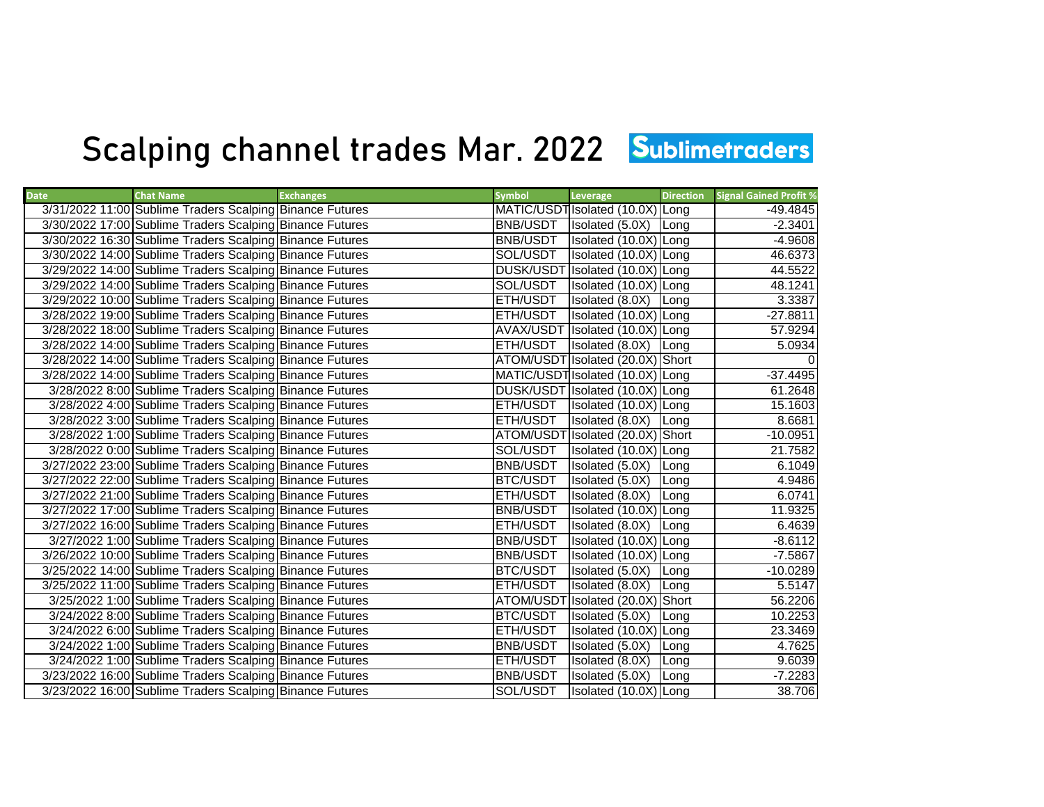## Scalping channel trades Mar. 2022 Sublimetraders

| <b>Date</b> | <b>Chat Name</b>                                         | <b>Exchanges</b> | <b>Symbol</b>   | Leverage                         | <b>Direction</b> | <b>Signal Gained Profit %</b> |
|-------------|----------------------------------------------------------|------------------|-----------------|----------------------------------|------------------|-------------------------------|
|             | 3/31/2022 11:00 Sublime Traders Scalping Binance Futures |                  |                 | MATIC/USDT Isolated (10.0X) Long |                  | -49.4845                      |
|             | 3/30/2022 17:00 Sublime Traders Scalping Binance Futures |                  | BNB/USDT        | Isolated (5.0X)                  | Long             | $-2.3401$                     |
|             | 3/30/2022 16:30 Sublime Traders Scalping Binance Futures |                  | <b>BNB/USDT</b> | Isolated (10.0X) Long            |                  | $-4.9608$                     |
|             | 3/30/2022 14:00 Sublime Traders Scalping Binance Futures |                  | SOL/USDT        | Isolated (10.0X) Long            |                  | 46.6373                       |
|             | 3/29/2022 14:00 Sublime Traders Scalping Binance Futures |                  |                 | DUSK/USDT Isolated (10.0X) Long  |                  | 44.5522                       |
|             | 3/29/2022 14:00 Sublime Traders Scalping Binance Futures |                  | SOL/USDT        | Isolated (10.0X) Long            |                  | 48.1241                       |
|             | 3/29/2022 10:00 Sublime Traders Scalping Binance Futures |                  | ETH/USDT        | Isolated (8.0X)                  | Long             | 3.3387                        |
|             | 3/28/2022 19:00 Sublime Traders Scalping Binance Futures |                  | ETH/USDT        | Isolated (10.0X) Long            |                  | $-27.8811$                    |
|             | 3/28/2022 18:00 Sublime Traders Scalping Binance Futures |                  |                 | AVAX/USDT Isolated (10.0X) Long  |                  | 57.9294                       |
|             | 3/28/2022 14:00 Sublime Traders Scalping Binance Futures |                  | ETH/USDT        | Isolated (8.0X) Long             |                  | 5.0934                        |
|             | 3/28/2022 14:00 Sublime Traders Scalping Binance Futures |                  |                 | ATOM/USDT Isolated (20.0X) Short |                  |                               |
|             | 3/28/2022 14:00 Sublime Traders Scalping Binance Futures |                  |                 | MATIC/USDT Isolated (10.0X) Long |                  | $-37.4495$                    |
|             | 3/28/2022 8:00 Sublime Traders Scalping Binance Futures  |                  |                 | DUSK/USDT Isolated (10.0X) Long  |                  | 61.2648                       |
|             | 3/28/2022 4:00 Sublime Traders Scalping Binance Futures  |                  | ETH/USDT        | Isolated (10.0X) Long            |                  | 15.1603                       |
|             | 3/28/2022 3:00 Sublime Traders Scalping Binance Futures  |                  | ETH/USDT        | Isolated (8.0X) Long             |                  | 8.6681                        |
|             | 3/28/2022 1:00 Sublime Traders Scalping Binance Futures  |                  |                 | ATOM/USDT Isolated (20.0X) Short |                  | $-10.0951$                    |
|             | 3/28/2022 0:00 Sublime Traders Scalping Binance Futures  |                  | SOL/USDT        | Isolated (10.0X) Long            |                  | 21.7582                       |
|             | 3/27/2022 23:00 Sublime Traders Scalping Binance Futures |                  | <b>BNB/USDT</b> | Isolated (5.0X)                  | Long             | 6.1049                        |
|             | 3/27/2022 22:00 Sublime Traders Scalping Binance Futures |                  | <b>BTC/USDT</b> | Isolated (5.0X)                  | Long             | 4.9486                        |
|             | 3/27/2022 21:00 Sublime Traders Scalping Binance Futures |                  | ETH/USDT        | Isolated (8.0X)                  | Long             | 6.0741                        |
|             | 3/27/2022 17:00 Sublime Traders Scalping Binance Futures |                  | <b>BNB/USDT</b> | Isolated (10.0X) Long            |                  | 11.9325                       |
|             | 3/27/2022 16:00 Sublime Traders Scalping Binance Futures |                  | ETH/USDT        | Isolated (8.0X)                  | Long             | 6.4639                        |
|             | 3/27/2022 1:00 Sublime Traders Scalping Binance Futures  |                  | <b>BNB/USDT</b> | Isolated (10.0X) Long            |                  | $-8.6112$                     |
|             | 3/26/2022 10:00 Sublime Traders Scalping Binance Futures |                  | <b>BNB/USDT</b> | Isolated (10.0X) Long            |                  | $-7.5867$                     |
|             | 3/25/2022 14:00 Sublime Traders Scalping Binance Futures |                  | BTC/USDT        | Isolated (5.0X)                  | Long             | $-10.0289$                    |
|             | 3/25/2022 11:00 Sublime Traders Scalping Binance Futures |                  | ETH/USDT        | Isolated (8.0X)                  | <b>ILong</b>     | 5.5147                        |
|             | 3/25/2022 1:00 Sublime Traders Scalping Binance Futures  |                  |                 | ATOM/USDT Isolated (20.0X) Short |                  | 56.2206                       |
|             | 3/24/2022 8:00 Sublime Traders Scalping Binance Futures  |                  | BTC/USDT        | Isolated (5.0X)                  | Long             | 10.2253                       |
|             | 3/24/2022 6:00 Sublime Traders Scalping Binance Futures  |                  | ETH/USDT        | Isolated (10.0X) Long            |                  | 23.3469                       |
|             | 3/24/2022 1:00 Sublime Traders Scalping Binance Futures  |                  | <b>BNB/USDT</b> | Isolated (5.0X)                  | Long             | 4.7625                        |
|             | 3/24/2022 1:00 Sublime Traders Scalping Binance Futures  |                  | ETH/USDT        | Isolated (8.0X)                  | Long             | 9.6039                        |
|             | 3/23/2022 16:00 Sublime Traders Scalping Binance Futures |                  | <b>BNB/USDT</b> | Isolated (5.0X)                  | Long             | $-7.2283$                     |
|             | 3/23/2022 16:00 Sublime Traders Scalping Binance Futures |                  | SOL/USDT        | Isolated (10.0X) Long            |                  | 38.706                        |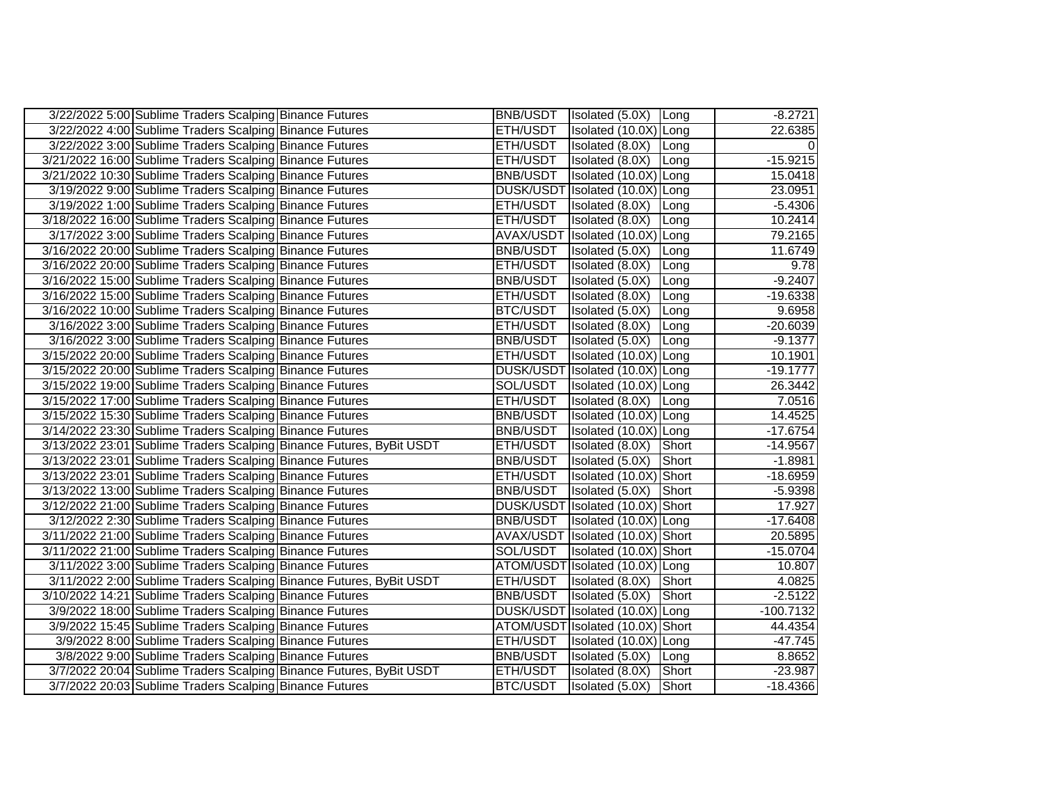| 3/22/2022 5:00 Sublime Traders Scalping Binance Futures              |                 | BNB/USDT   Isolated (5.0X)   Long |              | $-8.2721$   |
|----------------------------------------------------------------------|-----------------|-----------------------------------|--------------|-------------|
| 3/22/2022 4:00 Sublime Traders Scalping Binance Futures              | <b>ETH/USDT</b> | Isolated (10.0X) Long             |              | 22.6385     |
| 3/22/2022 3:00 Sublime Traders Scalping Binance Futures              | ETH/USDT        | Isolated (8.0X) Long              |              |             |
| 3/21/2022 16:00 Sublime Traders Scalping Binance Futures             | ETH/USDT        | Isolated (8.0X) Long              |              | $-15.9215$  |
| 3/21/2022 10:30 Sublime Traders Scalping Binance Futures             | <b>BNB/USDT</b> | Isolated (10.0X) Long             |              | 15.0418     |
| 3/19/2022 9:00 Sublime Traders Scalping Binance Futures              |                 | DUSK/USDT Isolated (10.0X) Long   |              | 23.0951     |
| 3/19/2022 1:00 Sublime Traders Scalping Binance Futures              | ETH/USDT        | Isolated (8.0X) Long              |              | $-5.4306$   |
| 3/18/2022 16:00 Sublime Traders Scalping Binance Futures             | ETH/USDT        | Isolated $(8.0X)$                 | Long         | 10.2414     |
| 3/17/2022 3:00 Sublime Traders Scalping Binance Futures              |                 | AVAX/USDT Isolated (10.0X) Long   |              | 79.2165     |
| 3/16/2022 20:00 Sublime Traders Scalping Binance Futures             | <b>BNB/USDT</b> | Isolated (5.0X) Long              |              | 11.6749     |
| 3/16/2022 20:00 Sublime Traders Scalping Binance Futures             | ETH/USDT        | Isolated (8.0X)                   | Long         | 9.78        |
| 3/16/2022 15:00 Sublime Traders Scalping Binance Futures             | <b>BNB/USDT</b> | Isolated (5.0X)                   | Long         | $-9.2407$   |
| 3/16/2022 15:00 Sublime Traders Scalping Binance Futures             | <b>ETH/USDT</b> | Isolated (8.0X)                   | <b>ILong</b> | $-19.6338$  |
| 3/16/2022 10:00 Sublime Traders Scalping Binance Futures             | <b>BTC/USDT</b> | Isolated (5.0X)                   | Long         | 9.6958      |
| 3/16/2022 3:00 Sublime Traders Scalping Binance Futures              | ETH/USDT        | Isolated (8.0X)                   | Long         | $-20.6039$  |
| 3/16/2022 3:00 Sublime Traders Scalping Binance Futures              | <b>BNB/USDT</b> | Isolated (5.0X)                   | Long         | $-9.1377$   |
| 3/15/2022 20:00 Sublime Traders Scalping Binance Futures             | <b>ETH/USDT</b> | Isolated (10.0X) Long             |              | 10.1901     |
| 3/15/2022 20:00 Sublime Traders Scalping Binance Futures             |                 | DUSK/USDT Isolated (10.0X) Long   |              | $-19.1777$  |
| 3/15/2022 19:00 Sublime Traders Scalping Binance Futures             | SOL/USDT        | Isolated (10.0X) Long             |              | 26.3442     |
| 3/15/2022 17:00 Sublime Traders Scalping Binance Futures             | ETH/USDT        | Isolated (8.0X) Long              |              | 7.0516      |
| 3/15/2022 15:30 Sublime Traders Scalping Binance Futures             | <b>BNB/USDT</b> | Isolated (10.0X) Long             |              | 14.4525     |
| 3/14/2022 23:30 Sublime Traders Scalping Binance Futures             | <b>BNB/USDT</b> | Isolated (10.0X) Long             |              | $-17.6754$  |
| 3/13/2022 23:01 Sublime Traders Scalping Binance Futures, ByBit USDT | ETH/USDT        | Isolated (8.0X)                   | Short        | $-14.9567$  |
| 3/13/2022 23:01 Sublime Traders Scalping Binance Futures             | <b>BNB/USDT</b> | Isolated (5.0X)                   | Short        | $-1.8981$   |
| 3/13/2022 23:01 Sublime Traders Scalping Binance Futures             | ETH/USDT        | Isolated (10.0X) Short            |              | $-18.6959$  |
| 3/13/2022 13:00 Sublime Traders Scalping Binance Futures             | <b>BNB/USDT</b> | Isolated (5.0X)                   | Short        | $-5.9398$   |
| 3/12/2022 21:00 Sublime Traders Scalping Binance Futures             |                 | DUSK/USDT Isolated (10.0X) Short  |              | 17.927      |
| 3/12/2022 2:30 Sublime Traders Scalping Binance Futures              | <b>BNB/USDT</b> | Isolated (10.0X) Long             |              | $-17.6408$  |
| 3/11/2022 21:00 Sublime Traders Scalping Binance Futures             |                 | AVAX/USDT Isolated (10.0X) Short  |              | 20.5895     |
| 3/11/2022 21:00 Sublime Traders Scalping Binance Futures             | SOL/USDT        | Isolated (10.0X) Short            |              | $-15.0704$  |
| 3/11/2022 3:00 Sublime Traders Scalping Binance Futures              |                 | ATOM/USDT Isolated (10.0X) Long   |              | 10.807      |
| 3/11/2022 2:00 Sublime Traders Scalping Binance Futures, ByBit USDT  | ETH/USDT        | Isolated (8.0X) Short             |              | 4.0825      |
| 3/10/2022 14:21 Sublime Traders Scalping Binance Futures             | <b>BNB/USDT</b> | Isolated (5.0X)                   | Short        | $-2.5122$   |
| 3/9/2022 18:00 Sublime Traders Scalping Binance Futures              |                 | DUSK/USDT Isolated (10.0X) Long   |              | $-100.7132$ |
| 3/9/2022 15:45 Sublime Traders Scalping Binance Futures              |                 | ATOM/USDT Isolated (10.0X) Short  |              | 44.4354     |
| 3/9/2022 8:00 Sublime Traders Scalping Binance Futures               | ETH/USDT        | Isolated (10.0X) Long             |              | $-47.745$   |
| 3/8/2022 9:00 Sublime Traders Scalping Binance Futures               | <b>BNB/USDT</b> | Isolated (5.0X) Long              |              | 8.8652      |
| 3/7/2022 20:04 Sublime Traders Scalping Binance Futures, ByBit USDT  | <b>ETH/USDT</b> | Isolated (8.0X)                   | Short        | $-23.987$   |
| 3/7/2022 20:03 Sublime Traders Scalping Binance Futures              | <b>BTC/USDT</b> | Isolated (5.0X)                   | Short        | $-18.4366$  |